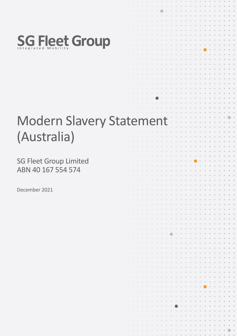

# Modern Slavery Statement (Australia) SG Fleet Group Limited ABN 40 167 554 574 December 2021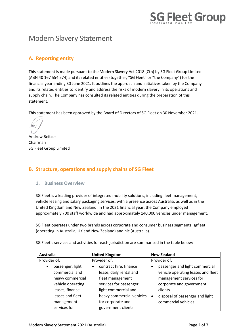

# Modern Slavery Statement

# **A. Reporting entity**

This statement is made pursuant to the Modern Slavery Act 2018 (Cth) by SG Fleet Group Limited (ABN 40 167 554 574) and its related entities (together, "SG Fleet" or "the Company") for the financial year ending 30 June 2021. It outlines the approach and initiatives taken by the Company and its related entities to identify and address the risks of modern slavery in its operations and supply chain. The Company has consulted its related entities during the preparation of this statement.

This statement has been approved by the Board of Directors of SG Fleet on 30 November 2021.

Andrew Reitzer Chairman SG Fleet Group Limited

# **B. Structure, operations and supply chains of SG Fleet**

#### **1. Business Overview**

SG Fleet is a leading provider of integrated mobility solutions, including fleet management, vehicle leasing and salary packaging services, with a presence across Australia, as well as in the United Kingdom and New Zealand. In the 2021 financial year, the Company employed approximately 700 staff worldwide and had approximately 140,000 vehicles under management.

SG Fleet operates under two brands across corporate and consumer business segments: sgfleet (operating in Australia, UK and New Zealand) and nlc (Australia).

| <b>Australia</b>                                                                                                                                              | <b>United Kingdom</b>                                                                                                                                                                                 | <b>New Zealand</b>                                                                                                                                                                                                 |  |
|---------------------------------------------------------------------------------------------------------------------------------------------------------------|-------------------------------------------------------------------------------------------------------------------------------------------------------------------------------------------------------|--------------------------------------------------------------------------------------------------------------------------------------------------------------------------------------------------------------------|--|
| Provider of:                                                                                                                                                  | Provider of:                                                                                                                                                                                          | Provider of:                                                                                                                                                                                                       |  |
| passenger, light<br>$\bullet$<br>commercial and<br>heavy commercial<br>vehicle operating<br>leases, finance<br>leases and fleet<br>management<br>services for | contract hire, finance<br>٠<br>lease, daily rental and<br>fleet management<br>services for passenger,<br>light commercial and<br>heavy commercial vehicles<br>for corporate and<br>government clients | passenger and light commercial<br>٠<br>vehicle operating leases and fleet<br>management services for<br>corporate and government<br>clients<br>disposal of passenger and light<br>$\bullet$<br>commercial vehicles |  |

SG Fleet's services and activities for each jurisdiction are summarised in the table below: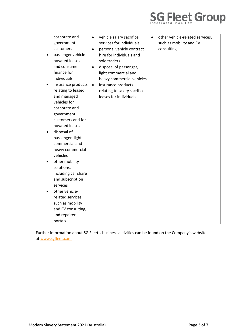

| corporate and       | $\bullet$ | vehicle salary sacrifice     | $\bullet$ | other vehicle-related services, |
|---------------------|-----------|------------------------------|-----------|---------------------------------|
| government          |           | services for individuals     |           | such as mobility and EV         |
| customers           | $\bullet$ | personal vehicle contract    |           | consulting                      |
| passenger vehicle   |           | hire for individuals and     |           |                                 |
| novated leases      |           | sole traders                 |           |                                 |
| and consumer        | $\bullet$ | disposal of passenger,       |           |                                 |
| finance for         |           | light commercial and         |           |                                 |
| individuals         |           | heavy commercial vehicles    |           |                                 |
| insurance products  | $\bullet$ | insurance products           |           |                                 |
| relating to leased  |           | relating to salary sacrifice |           |                                 |
| and managed         |           | leases for individuals       |           |                                 |
| vehicles for        |           |                              |           |                                 |
| corporate and       |           |                              |           |                                 |
| government          |           |                              |           |                                 |
| customers and for   |           |                              |           |                                 |
| novated leases      |           |                              |           |                                 |
| disposal of         |           |                              |           |                                 |
| passenger, light    |           |                              |           |                                 |
| commercial and      |           |                              |           |                                 |
| heavy commercial    |           |                              |           |                                 |
| vehicles            |           |                              |           |                                 |
| other mobility      |           |                              |           |                                 |
| solutions,          |           |                              |           |                                 |
| including car share |           |                              |           |                                 |
| and subscription    |           |                              |           |                                 |
| services            |           |                              |           |                                 |
| other vehicle-      |           |                              |           |                                 |
| related services,   |           |                              |           |                                 |
| such as mobility    |           |                              |           |                                 |
| and EV consulting,  |           |                              |           |                                 |
| and repairer        |           |                              |           |                                 |
| portals             |           |                              |           |                                 |

Further information about SG Fleet's business activities can be found on the Company's website at [www.sgfleet.com.](http://www.sgfleet.com/)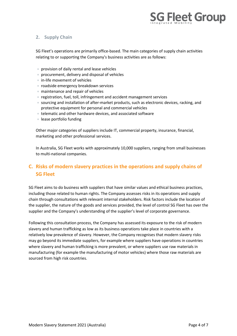

#### **2. Supply Chain**

SG Fleet's operations are primarily office-based. The main categories of supply chain activities relating to or supporting the Company's business activities are as follows:

- provision of daily rental and lease vehicles
- procurement, delivery and disposal of vehicles
- in-life movement of vehicles
- roadside emergency breakdown services
- maintenance and repair of vehicles
- registration, fuel, toll, infringement and accident management services
- sourcing and installation of after-market products, such as electronic devices, racking, and protective equipment for personal and commercial vehicles
- telematic and other hardware devices, and associated software
- lease portfolio funding

Other major categories of suppliers include IT, commercial property, insurance, financial, marketing and other professional services.

In Australia, SG Fleet works with approximately 10,000 suppliers, ranging from small businesses to multi-national companies.

# **C. Risks of modern slavery practices in the operations and supply chains of SG Fleet**

SG Fleet aims to do business with suppliers that have similar values and ethical business practices, including those related to human rights. The Company assesses risks in its operations and supply chain through consultations with relevant internal stakeholders. Risk factors include the location of the supplier, the nature of the goods and services provided, the level of control SG Fleet has over the supplier and the Company's understanding of the supplier's level of corporate governance.

Following this consultation process, the Company has assessed its exposure to the risk of modern slavery and human trafficking as low as its business operations take place in countries with a relatively low prevalence of slavery. However, the Company recognises that modern slavery risks may go beyond its immediate suppliers, for example where suppliers have operations in countries where slavery and human trafficking is more prevalent, or where suppliers use raw materials in manufacturing (for example the manufacturing of motor vehicles) where those raw materials are sourced from high risk countries.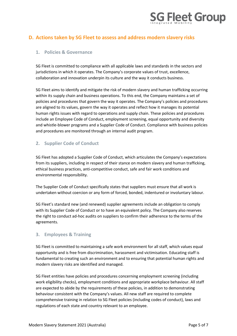

## **D. Actions taken by SG Fleet to assess and address modern slavery risks**

#### **1. Policies & Governance**

SG Fleet is committed to compliance with all applicable laws and standards in the sectors and jurisdictions in which it operates. The Company's corporate values of trust, excellence, collaboration and innovation underpin its culture and the way it conducts business.

SG Fleet aims to identify and mitigate the risk of modern slavery and human trafficking occurring within its supply chain and business operations. To this end, the Company maintains a set of policies and procedures that govern the way it operates. The Company's policies and procedures are aligned to its values, govern the way it operates and reflect how it manages its potential human rights issues with regard to operations and supply chain. These policies and procedures include an Employee Code of Conduct, employment screening, equal opportunity and diversity and whistle-blower programs and a Supplier Code of Conduct. Compliance with business policies and procedures are monitored through an internal audit program.

#### **2. Supplier Code of Conduct**

SG Fleet has adopted a Supplier Code of Conduct, which articulates the Company's expectations from its suppliers, including in respect of their stance on modern slavery and human trafficking, ethical business practices, anti-competitive conduct, safe and fair work conditions and environmental responsibility.

The Supplier Code of Conduct specifically states that suppliers must ensure that all work is undertaken without coercion or any form of forced, bonded, indentured or involuntary labour.

SG Fleet's standard new (and renewed) supplier agreements include an obligation to comply with its Supplier Code of Conduct or to have an equivalent policy. The Company also reserves the right to conduct ad-hoc audits on suppliers to confirm their adherence to the terms of the agreements.

#### **3. Employees & Training**

SG Fleet is committed to maintaining a safe work environment for all staff, which values equal opportunity and is free from discrimination, harassment and victimisation. Educating staff is fundamental to creating such an environment and to ensuring that potential human rights and modern slavery risks are identified and managed.

SG Fleet entities have policies and procedures concerning employment screening (including work eligibility checks), employment conditions and appropriate workplace behaviour. All staff are expected to abide by the requirements of these policies, in addition to demonstrating behaviour consistent with the Company's values. All new staff are required to complete comprehensive training in relation to SG Fleet policies (including codes of conduct), laws and regulations of each state and country relevant to an employee.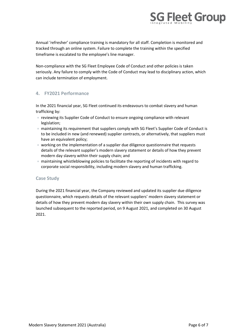

Annual 'refresher' compliance training is mandatory for all staff. Completion is monitored and tracked through an online system. Failure to complete the training within the specified timeframe is escalated to the employee's line manager.

Non-compliance with the SG Fleet Employee Code of Conduct and other policies is taken seriously. Any failure to comply with the Code of Conduct may lead to disciplinary action, which can include termination of employment.

#### **4. FY2021 Performance**

In the 2021 financial year, SG Fleet continued its endeavours to combat slavery and human trafficking by:

- reviewing its Supplier Code of Conduct to ensure ongoing compliance with relevant legislation;
- maintaining its requirement that suppliers comply with SG Fleet's Supplier Code of Conduct is to be included in new (and renewed) supplier contracts, or alternatively, that suppliers must have an equivalent policy;
- working on the implementation of a supplier due diligence questionnaire that requests details of the relevant supplier's modern slavery statement or details of how they prevent modern day slavery within their supply chain; and
- maintaining whistleblowing policies to facilitate the reporting of incidents with regard to corporate social responsibility, including modern slavery and human trafficking.

#### **Case Study**

During the 2021 financial year, the Company reviewed and updated its supplier due diligence questionnaire, which requests details of the relevant suppliers' modern slavery statement or details of how they prevent modern day slavery within their own supply chain. This survey was launched subsequent to the reported period, on 9 August 2021, and completed on 30 August 2021.